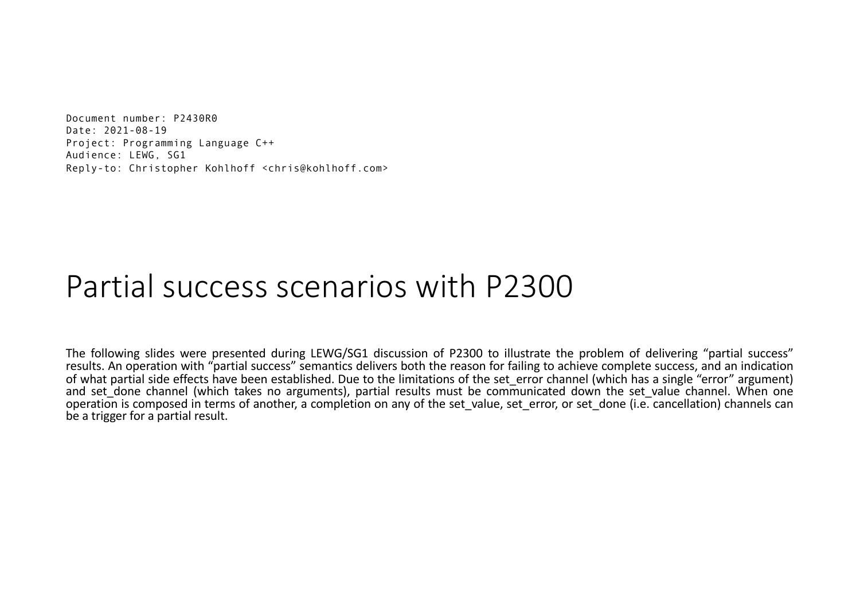Document number: P2430R0 Date: 2021-08-19 Project: Programming Language C++ Audience: LEWG, SG1 Reply-to: Christopher Kohlhoff <chris@kohlhoff.com>

## Partial success scenarios with P2300

The following slides were presented during LEWG/SG1 discussion of P2300 to illustrate the problem of delivering "partial success" results. An operation with "partial success" semantics delivers both the reason for failing to achieve complete success, and an indication of what partial side effects have been established. Due to the limitations of the set\_error channel (which has a single "error" argument) and set done channel (which takes no arguments), partial results must be communicated down the set value channel. When one operation is composed in terms of another, a completion on any of the set value, set error, or set done (i.e. cancellation) channels can be a trigger for a partial result.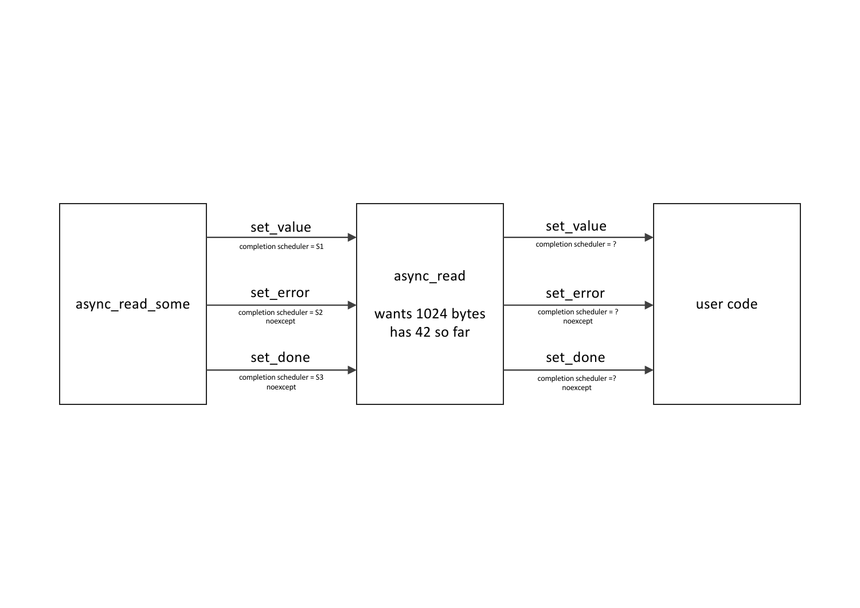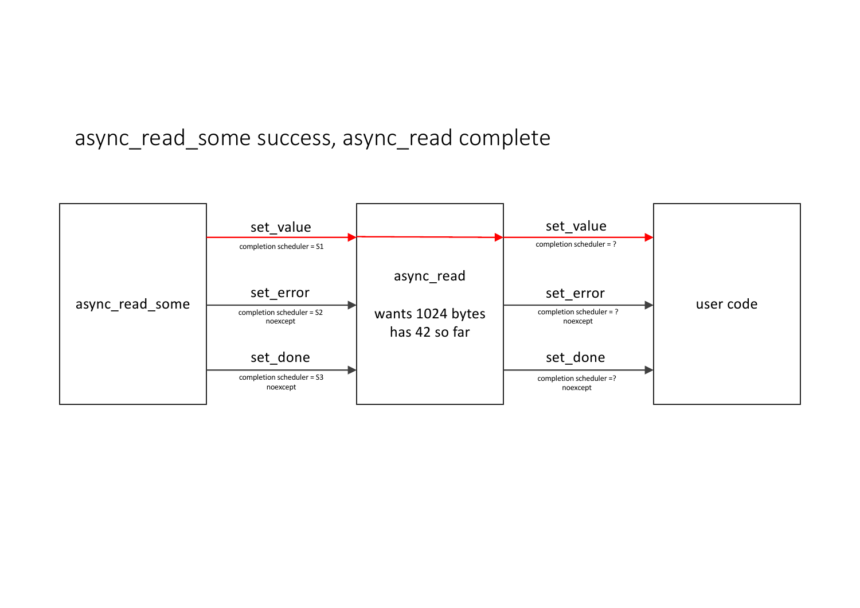## async\_read\_some success, async\_read complete

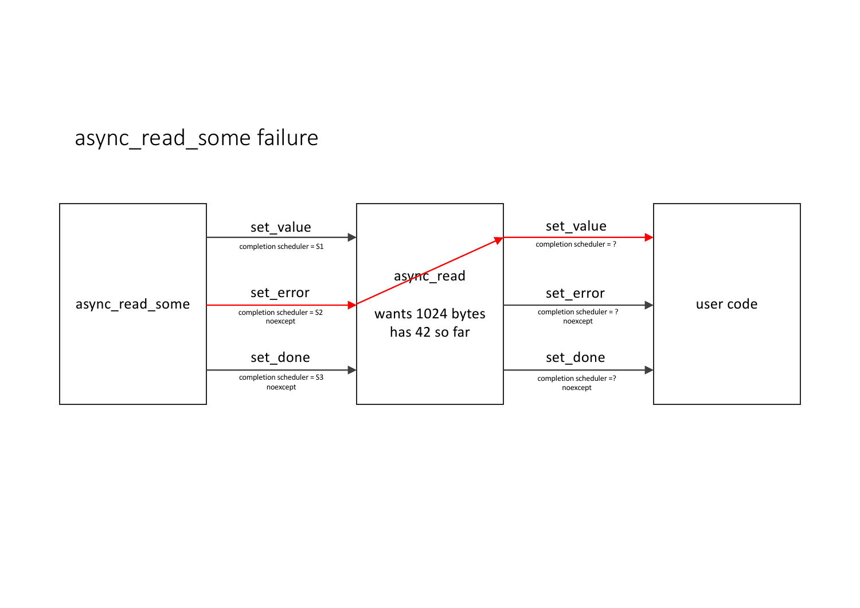## async\_read\_some failure

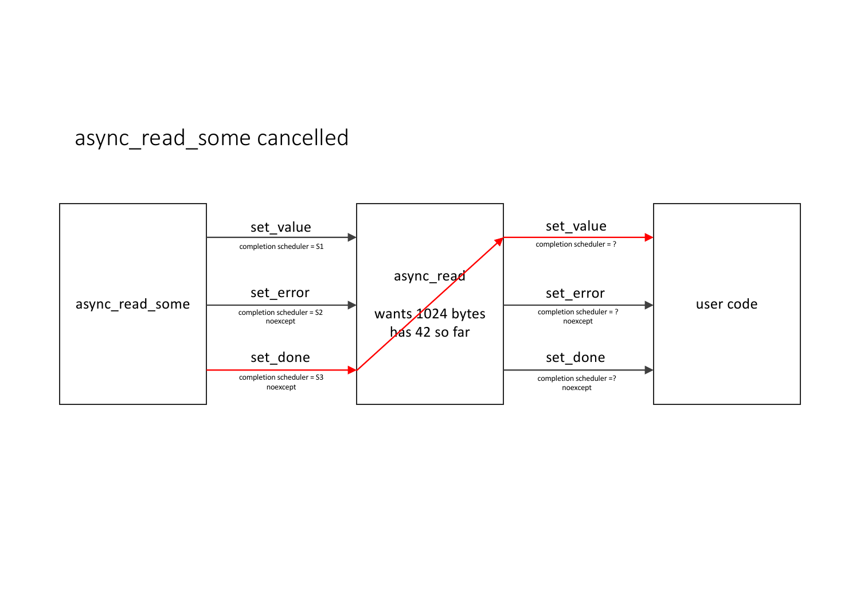## async\_read\_some cancelled

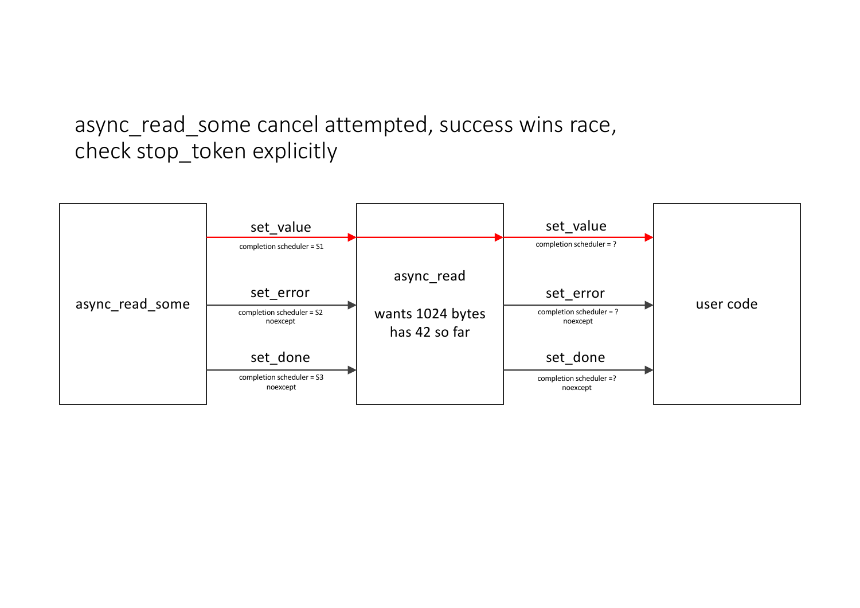async\_read\_some cancel attempted, success wins race, check stop\_token explicitly